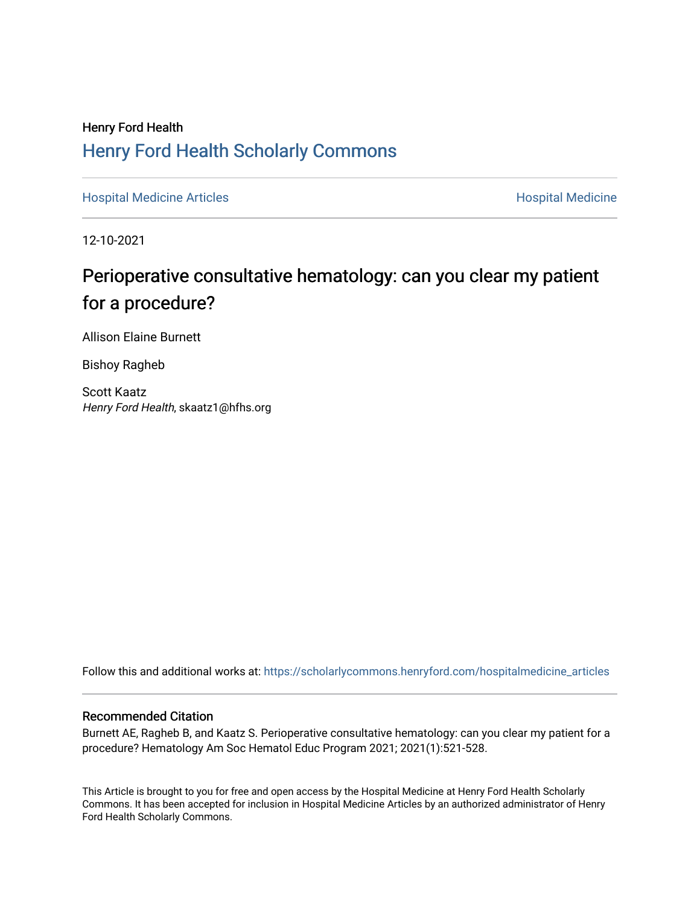# Henry Ford Health [Henry Ford Health Scholarly Commons](https://scholarlycommons.henryford.com/)

[Hospital Medicine Articles](https://scholarlycommons.henryford.com/hospitalmedicine_articles) **Hospital Medicine** 

12-10-2021

# Perioperative consultative hematology: can you clear my patient for a procedure?

Allison Elaine Burnett

Bishoy Ragheb

Scott Kaatz Henry Ford Health, skaatz1@hfhs.org

Follow this and additional works at: [https://scholarlycommons.henryford.com/hospitalmedicine\\_articles](https://scholarlycommons.henryford.com/hospitalmedicine_articles?utm_source=scholarlycommons.henryford.com%2Fhospitalmedicine_articles%2F64&utm_medium=PDF&utm_campaign=PDFCoverPages)

# Recommended Citation

Burnett AE, Ragheb B, and Kaatz S. Perioperative consultative hematology: can you clear my patient for a procedure? Hematology Am Soc Hematol Educ Program 2021; 2021(1):521-528.

This Article is brought to you for free and open access by the Hospital Medicine at Henry Ford Health Scholarly Commons. It has been accepted for inclusion in Hospital Medicine Articles by an authorized administrator of Henry Ford Health Scholarly Commons.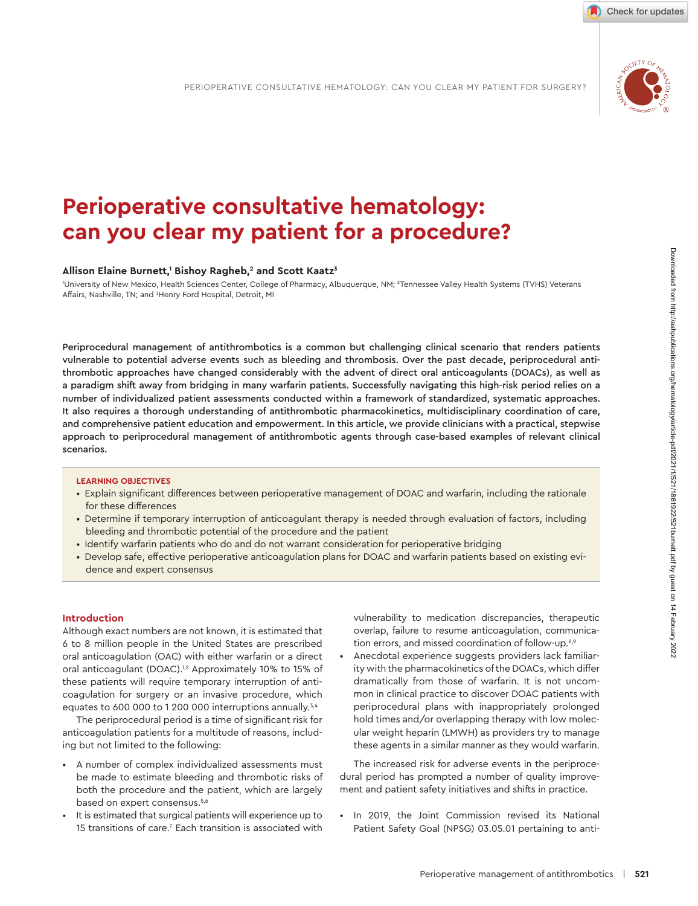

Check for updates

# **Perioperative consultative hematology:** can you clear my patient for a procedure?

#### Allison Elaine Burnett,<sup>1</sup> Bishoy Ragheb,<sup>2</sup> and Scott Kaatz<sup>3</sup>

University of New Mexico, Health Sciences Center, College of Pharmacy, Albuquerque, NM; <sup>2</sup>Tennessee Valley Health Systems (TVHS) Veterans Affairs, Nashville, TN; and <sup>3</sup>Henry Ford Hospital, Detroit, MI

Periprocedural management of antithrombotics is a common but challenging clinical scenario that renders patients vulnerable to potential adverse events such as bleeding and thrombosis. Over the past decade, periprocedural antithrombotic approaches have changed considerably with the advent of direct oral anticoagulants (DOACs), as well as a paradigm shift away from bridging in many warfarin patients. Successfully navigating this high-risk period relies on a number of individualized patient assessments conducted within a framework of standardized, systematic approaches. It also requires a thorough understanding of antithrombotic pharmacokinetics, multidisciplinary coordination of care, and comprehensive patient education and empowerment. In this article, we provide clinicians with a practical, stepwise approach to periprocedural management of antithrombotic agents through case-based examples of relevant clinical scenarios.

# **LEARNING OBJEC TIVES**

- Explain significant differences between perioperative management of DOAC and warfarin, including the rationale for these differences
- Determine if temporary interruption of anticoagulant therapy is needed through evaluation of factors, including bleeding and thrombotic potential of the procedure and the patient
- Identify warfarin patients who do and do not warrant consideration for perioperative bridging
- Develop safe, effective perioperative anticoagulation plans for DOAC and warfarin patients based on existing evidence and expert consensus

#### **Introduction**

Although exact numbers are not known, it is estimated that 6 to 8 million people in the United States are prescribed oral anticoagulation (OAC) with either warfarin or a direct oral anticoagulant (DOAC).<sup>1,2</sup> Approximately 10% to 15% of these patients will require temporary interruption of anticoagulation for surgery or an invasive procedure, which equates to 600 000 to 1 200 000 interruptions annually. $3,4$ 

The periprocedural period is a time of significant risk for anticoagulation patients for a multitude of reasons, including but not limited to the following:

- A number of complex individualized assessments must be made to estimate bleeding and thrombotic risks of both the procedure and the patient, which are largely based on expert consensus.<sup>5,6</sup>
- It is estimated that surgical patients will experience up to 15 transitions of care. $7$  Each transition is associated with

vulnerability to medication discrepancies, therapeutic overlap, failure to resume anticoagulation, communication errors, and missed coordination of follow-up.<sup>8,9</sup>

Anecdotal experience suggests providers lack familiarity with the pharmacokinetics of the DOACs, which differ dramatically from those of warfarin. It is not uncommon in clinical practice to discover DOAC patients with periprocedural plans with inappropriately prolonged hold times and/or overlapping therapy with low molecular weight heparin (LMWH) as providers try to manage these agents in a similar manner as they would warfarin.

 The increased risk for adverse events in the periprocedural period has prompted a number of quality improvement and patient safety initiatives and shifts in practice.

 • In 2019, the Joint Commission revised its National Patient Safety Goal (NPSG) 03.05.01 pertaining to anti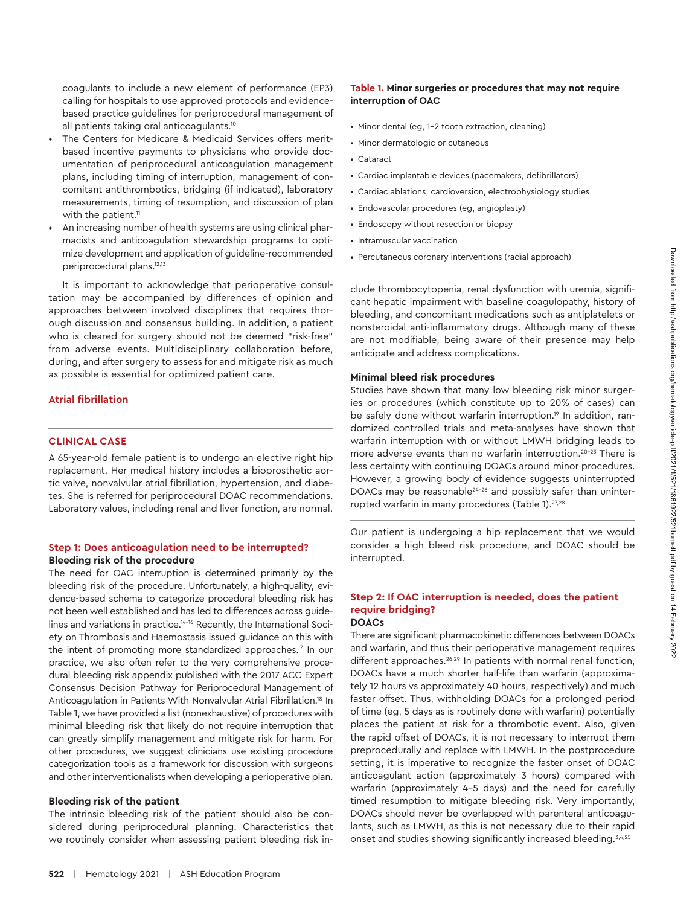coagulants to include a new element of performance (EP3) calling for hospitals to use approved protocols and evidencebased practice guidelines for periprocedural management of all patients taking oral anticoagulants.10

- The Centers for Medicare & Medicaid Services offers meritbased incentive payments to physicians who provide documentation of periprocedural anticoagulation management plans, including timing of interruption, management of concomitant antithrombotics, bridging (if indicated), laboratory measurements, timing of resumption, and discussion of plan with the patient.<sup>11</sup>
- An increasing number of health systems are using clinical pharmacists and anticoagulation stewardship programs to optimize development and application of guideline-recommended periprocedural plans.12,13

It is important to acknowledge that perioperative consultation may be accompanied by differences of opinion and approaches between involved disciplines that requires thorough discussion and consensus building. In addition, a patient who is cleared for surgery should not be deemed "risk-free" from adverse events. Multidisciplinary collaboration before, during, and after surgery to assess for and mitigate risk as much as possible is essential for optimized patient care.

#### **Atrial fibrillation**

# **CLINICAL CASE**

A 65-year-old female patient is to undergo an elective right hip replacement. Her medical history includes a bioprosthetic aortic valve, nonvalvular atrial fibrillation, hypertension, and diabetes. She is referred for periprocedural DOAC recommendations. Laboratory values, including renal and liver function, are normal.

# **Step 1: Does anticoagulation need to be interrupted? Bleeding risk of the procedure**

The need for OAC interruption is determined primarily by the bleeding risk of the procedure. Unfortunately, a high-quality, evidence-based schema to categorize procedural bleeding risk has not been well established and has led to differences across guidelines and variations in practice.14-16 Recently, the International Society on Thrombosis and Haemostasis issued guidance on this with the intent of promoting more standardized approaches.<sup>17</sup> In our practice, we also often refer to the very comprehensive procedural bleeding risk appendix published with the 2017 ACC Expert Consensus Decision Pathway for Periprocedural Management of Anticoagulation in Patients With Nonvalvular Atrial Fibrillation.18 In Table 1, we have provided a list (nonexhaustive) of procedures with minimal bleeding risk that likely do not require interruption that can greatly simplify management and mitigate risk for harm. For other procedures, we suggest clinicians use existing procedure categorization tools as a framework for discussion with surgeons and other interventionalists when developing a perioperative plan.

#### **Bleeding risk of the patient**

The intrinsic bleeding risk of the patient should also be considered during periprocedural planning. Characteristics that we routinely consider when assessing patient bleeding risk in-

### **Table 1. Minor surgeries or procedures that may not require interruption of OAC**

- Minor dental (eg, 1-2 tooth extraction, cleaning)
- Minor dermatologic or cutaneous
- Cataract
- Cardiac implantable devices (pacemakers, defibrillators)
- Cardiac ablations, cardioversion, electrophysiology studies
- Endovascular procedures (eg, angioplasty)
- Endoscopy without resection or biopsy
- Intramuscular vaccination
- Percutaneous coronary interventions (radial approach)

clude thrombocytopenia, renal dysfunction with uremia, significant hepatic impairment with baseline coagulopathy, history of bleeding, and concomitant medications such as antiplatelets or nonsteroidal anti-inflammatory drugs. Although many of these are not modifiable, being aware of their presence may help anticipate and address complications.

#### **Minimal bleed risk procedures**

Studies have shown that many low bleeding risk minor surgeries or procedures (which constitute up to 20% of cases) can be safely done without warfarin interruption.<sup>19</sup> In addition, randomized controlled trials and meta-analyses have shown that warfarin interruption with or without LMWH bridging leads to more adverse events than no warfarin interruption.<sup>20-23</sup> There is less certainty with continuing DOACs around minor procedures. However, a growing body of evidence suggests uninterrupted DOACs may be reasonable<sup>24-26</sup> and possibly safer than uninterrupted warfarin in many procedures (Table 1).<sup>27,28</sup>

Our patient is undergoing a hip replacement that we would consider a high bleed risk procedure, and DOAC should be interrupted.

#### **Step 2: If OAC interruption is needed, does the patient require bridging? DOACs**

There are significant pharmacokinetic differences between DOACs and warfarin, and thus their perioperative management requires different approaches.<sup>26,29</sup> In patients with normal renal function, DOACs have a much shorter half-life than warfarin (approximately 12 hours vs approximately 40 hours, respectively) and much faster offset. Thus, withholding DOACs for a prolonged period of time (eg, 5 days as is routinely done with warfarin) potentially places the patient at risk for a thrombotic event. Also, given the rapid offset of DOACs, it is not necessary to interrupt them preprocedurally and replace with LMWH. In the postprocedure setting, it is imperative to recognize the faster onset of DOAC anticoagulant action (approximately 3 hours) compared with warfarin (approximately 4-5 days) and the need for carefully timed resumption to mitigate bleeding risk. Very importantly, DOACs should never be overlapped with parenteral anticoagulants, such as LMWH, as this is not necessary due to their rapid onset and studies showing significantly increased bleeding.<sup>3,4,25</sup>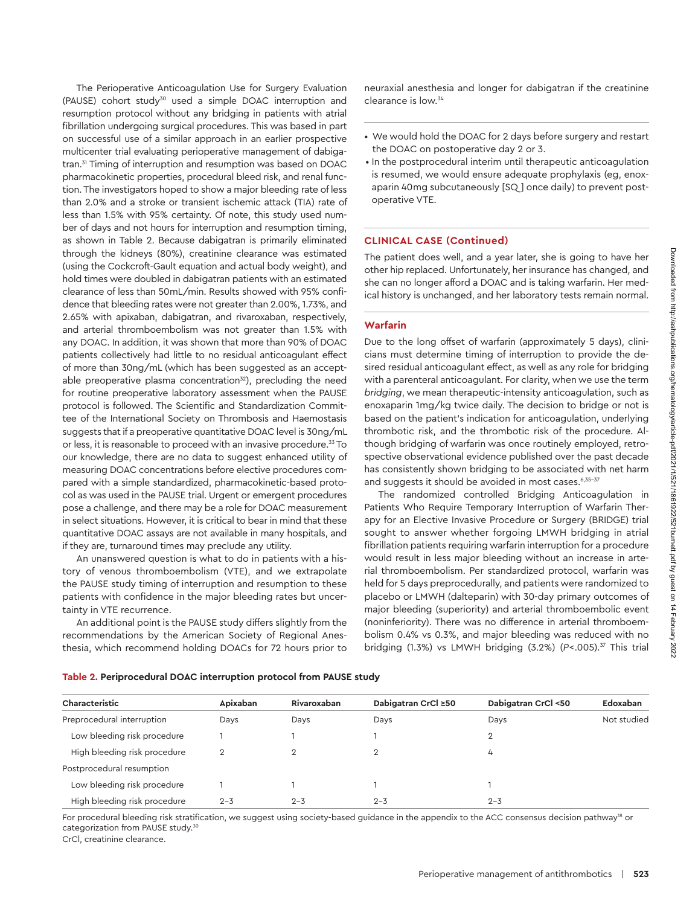The Perioperative Anticoagulation Use for Surgery Evaluation (PAUSE) cohort study<sup>30</sup> used a simple DOAC interruption and resumption protocol without any bridging in patients with atrial fibrillation undergoing surgical procedures. This was based in part on successful use of a similar approach in an earlier prospective multicenter trial evaluating perioperative management of dabigatran.<sup>31</sup> Timing of interruption and resumption was based on DOAC pharmacokinetic properties, procedural bleed risk, and renal function. The investigators hoped to show a major bleeding rate of less than 2.0% and a stroke or transient ischemic attack (TIA) rate of less than 1.5% with 95% certainty. Of note, this study used number of days and not hours for interruption and resumption timing, as shown in Table 2. Because dabigatran is primarily eliminated through the kidneys (80%), creatinine clearance was estimated (using the Cockcroft-Gault equation and actual body weight), and hold times were doubled in dabigatran patients with an estimated clearance of less than 50mL/min. Results showed with 95% confidence that bleeding rates were not greater than 2.00%, 1.73%, and 2.65% with apixaban, dabigatran, and rivaroxaban, respectively, and arterial thromboembolism was not greater than 1.5% with any DOAC. In addition, it was shown that more than 90% of DOAC patients collectively had little to no residual anticoagulant effect of more than 30ng/mL (which has been suggested as an acceptable preoperative plasma concentration $32$ ), precluding the need for routine preoperative laboratory assessment when the PAUSE protocol is followed. The Scientific and Standardization Committee of the International Society on Thrombosis and Haemostasis suggests that if a preoperative quantitative DOAC level is 30ng/mL or less, it is reasonable to proceed with an invasive procedure.<sup>33</sup> To our knowledge, there are no data to suggest enhanced utility of measuring DOAC concentrations before elective procedures compared with a simple standardized, pharmacokinetic-based protocol as was used in the PAUSE trial. Urgent or emergent procedures pose a challenge, and there may be a role for DOAC measurement in select situations. However, it is critical to bear in mind that these quantitative DOAC assays are not available in many hospitals, and if they are, turnaround times may preclude any utility.

An unanswered question is what to do in patients with a history of venous thromboembolism (VTE), and we extrapolate the PAUSE study timing of interruption and resumption to these patients with confidence in the major bleeding rates but uncertainty in VTE recurrence.

An additional point is the PAUSE study differs slightly from the recommendations by the American Society of Regional Anesthesia, which recommend holding DOACs for 72 hours prior to

neuraxial anesthesia and longer for dabigatran if the creatinine clearance is low.34

- We would hold the DOAC for 2 days before surgery and restart the DOAC on postoperative day 2 or 3.
- •  In the postprocedural interim until therapeutic anticoagulation is resumed, we would ensure adequate prophylaxis (eg, enoxaparin 40mg subcutaneously [SQ ] once daily) to prevent postoperative VTE.

#### **CLINICAL CASE (Continued)**

The patient does well, and a year later, she is going to have her other hip replaced. Unfortunately, her insurance has changed, and she can no longer afford a DOAC and is taking warfarin. Her medical history is unchanged, and her laboratory tests remain normal.

#### **Warfarin**

Due to the long offset of warfarin (approximately 5 days), clinicians must determine timing of interruption to provide the desired residual anticoagulant effect, as well as any role for bridging with a parenteral anticoagulant. For clarity, when we use the term *bridging*, we mean therapeutic-intensity anticoagulation, such as enoxaparin 1mg/kg twice daily. The decision to bridge or not is based on the patient's indication for anticoagulation, underlying thrombotic risk, and the thrombotic risk of the procedure. Although bridging of warfarin was once routinely employed, retrospective observational evidence published over the past decade has consistently shown bridging to be associated with net harm and suggests it should be avoided in most cases.<sup>6,35-37</sup>

The randomized controlled Bridging Anticoagulation in Patients Who Require Temporary Interruption of Warfarin Therapy for an Elective Invasive Procedure or Surgery (BRIDGE) trial sought to answer whether forgoing LMWH bridging in atrial fibrillation patients requiring warfarin interruption for a procedure would result in less major bleeding without an increase in arterial thromboembolism. Per standardized protocol, warfarin was held for 5 days preprocedurally, and patients were randomized to placebo or LMWH (dalteparin) with 30-day primary outcomes of major bleeding (superiority) and arterial thromboembolic event (noninferiority). There was no difference in arterial thromboembolism 0.4% vs 0.3%, and major bleeding was reduced with no bridging (1.3%) vs LMWH bridging (3.2%) (*P*<.005).37 This trial

| Characteristic               | Apixaban       | Rivaroxaban | Dabigatran CrCl ≥50 | Dabigatran CrCl <50 | Edoxaban    |
|------------------------------|----------------|-------------|---------------------|---------------------|-------------|
| Preprocedural interruption   | Days           | Days        | Days                | Days                | Not studied |
| Low bleeding risk procedure  |                |             |                     | $\overline{2}$      |             |
| High bleeding risk procedure | $\overline{2}$ | 2           | $\mathbf{2}$        | 4                   |             |
| Postprocedural resumption    |                |             |                     |                     |             |
| Low bleeding risk procedure  |                |             |                     |                     |             |
| High bleeding risk procedure | $2 - 3$        | $2 - 3$     | $2 - 3$             | $2 - 3$             |             |

**Table 2. Periprocedural DOAC interruption protocol from PAUSE study**

For procedural bleeding risk stratification, we suggest using society-based guidance in the appendix to the ACC consensus decision pathway<sup>18</sup> or categorization from PAUSE study.<sup>30</sup>

CrCl, creatinine clearance.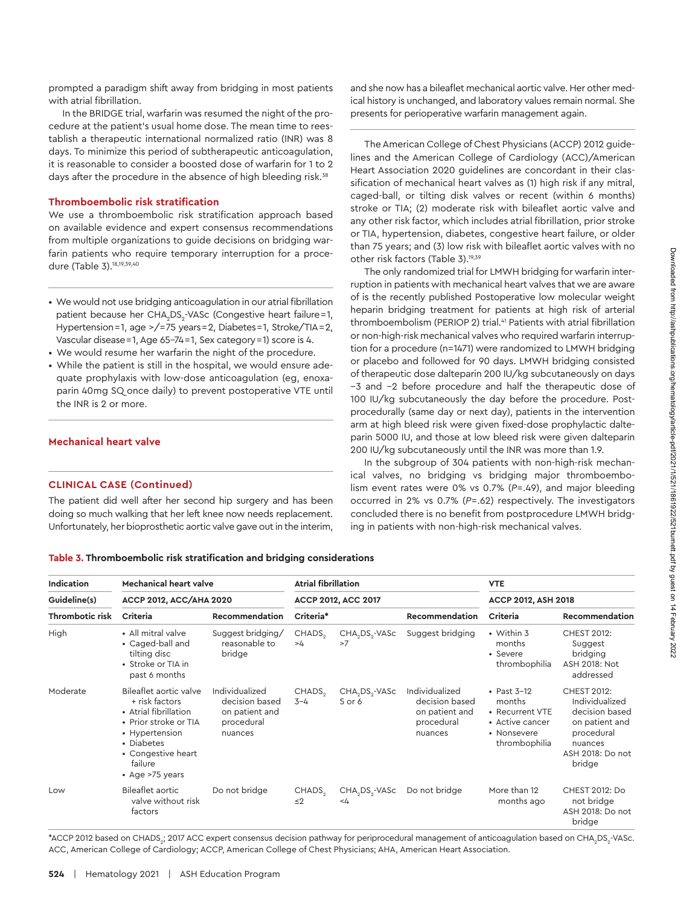prompted a paradigm shift away from bridging in most patients with atrial fibrillation.

In the BRIDGE trial, warfarin was resumed the night of the procedure at the patient's usual home dose. The mean time to reestablish a therapeutic international normalized ratio (INR) was 8 days. To minimize this period of subtherapeutic anticoagulation, it is reasonable to consider a boosted dose of warfarin for 1 to 2 days after the procedure in the absence of high bleeding risk.<sup>38</sup>

# **Thromboembolic risk stratification**

We use a thromboembolic risk stratification approach based on available evidence and expert consensus recommendations from multiple organizations to guide decisions on bridging warfarin patients who require temporary interruption for a procedure (Table 3).18,19,39,40

- We would not use bridging anticoagulation in our atrial fibrillation patient because her CHA<sub>2</sub>DS<sub>2</sub>-VASc (Congestive heart failure=1, Hypertension = 1, age >/= 75 years = 2, Diabetes = 1, Stroke/TIA = 2, Vascular disease = 1, Age 65-74 = 1, Sex category = 1) score is 4.
- We would resume her warfarin the night of the procedure.
- While the patient is still in the hospital, we would ensure adequate prophylaxis with low-dose anticoagulation (eg, enoxaparin 40mg SQ once daily) to prevent postoperative VTE until the INR is 2 or more.

# **Mechanical heart valve**

#### **CLINICAL CASE (Continued)**

The patient did well after her second hip surgery and has been doing so much walking that her left knee now needs replacement. Unfortunately, her bioprosthetic aortic valve gave out in the interim, and she now has a bileaflet mechanical aortic valve. Her other medical history is unchanged, and laboratory values remain normal. She presents for perioperative warfarin management again.

The American College of Chest Physicians (ACCP) 2012 guidelines and the American College of Cardiology (ACC)/American Heart Association 2020 guidelines are concordant in their classification of mechanical heart valves as (1) high risk if any mitral, caged-ball, or tilting disk valves or recent (within 6 months) stroke or TIA; (2) moderate risk with bileaflet aortic valve and any other risk factor, which includes atrial fibrillation, prior stroke or TIA, hypertension, diabetes, congestive heart failure, or older than 75 years; and (3) low risk with bileaflet aortic valves with no other risk factors (Table 3).19,39

The only randomized trial for LMWH bridging for warfarin interruption in patients with mechanical heart valves that we are aware of is the recently published Postoperative low molecular weight heparin bridging treatment for patients at high risk of arterial thromboembolism (PERIOP 2) trial.<sup>41</sup> Patients with atrial fibrillation or non-high-risk mechanical valves who required warfarin interruption for a procedure (n=1471) were randomized to LMWH bridging or placebo and followed for 90 days. LMWH bridging consisted of therapeutic dose dalteparin 200 IU/kg subcutaneously on days −3 and −2 before procedure and half the therapeutic dose of 100 IU/kg subcutaneously the day before the procedure. Postprocedurally (same day or next day), patients in the intervention arm at high bleed risk were given fixed-dose prophylactic dalteparin 5000 IU, and those at low bleed risk were given dalteparin 200 IU/kg subcutaneously until the INR was more than 1.9.

In the subgroup of 304 patients with non-high-risk mechanical valves, no bridging vs bridging major thromboembolism event rates were 0% vs 0.7% (*P*=.49), and major bleeding occurred in 2% vs 0.7% (*P*=.62) respectively. The investigators concluded there is no benefit from postprocedure LMWH bridging in patients with non-high-risk mechanical valves.

**Table 3. Thromboembolic risk stratification and bridging considerations**

| Indication<br><b>Mechanical heart valve</b> |                                                                                                                                                                                  | <b>Atrial fibrillation</b>                                                  |                                |                                                  | <b>VTE</b>                                                                  |                                                                                               |                                                                                                                                 |
|---------------------------------------------|----------------------------------------------------------------------------------------------------------------------------------------------------------------------------------|-----------------------------------------------------------------------------|--------------------------------|--------------------------------------------------|-----------------------------------------------------------------------------|-----------------------------------------------------------------------------------------------|---------------------------------------------------------------------------------------------------------------------------------|
| Guideline(s)<br>Thrombotic risk             | <b>ACCP 2012, ACC/AHA 2020</b>                                                                                                                                                   | ACCP 2012, ACC 2017                                                         |                                |                                                  | <b>ACCP 2012, ASH 2018</b>                                                  |                                                                                               |                                                                                                                                 |
|                                             | Criteria                                                                                                                                                                         | Recommendation                                                              | Criteria*                      |                                                  | Recommendation                                                              | Criteria                                                                                      | Recommendation                                                                                                                  |
| High                                        | • All mitral valve<br>• Caged-ball and<br>tilting disc<br>• Stroke or TIA in<br>past 6 months                                                                                    | Suggest bridging/<br>reasonable to<br>bridge                                | CHADS <sub>2</sub><br>>4       | CHA DS - VASc<br>>7                              | Suggest bridging                                                            | • Within 3<br>months<br>• Severe<br>thrombophilia                                             | <b>CHEST 2012:</b><br>Suggest<br>bridging<br><b>ASH 2018: Not</b><br>addressed                                                  |
| Moderate                                    | Bileaflet aortic valve<br>+ risk factors<br>• Atrial fibrillation<br>• Prior stroke or TIA<br>• Hypertension<br>• Diabetes<br>• Congestive heart<br>failure<br>• Age $>75$ years | Individualized<br>decision based<br>on patient and<br>procedural<br>nuances | CHADS <sub>2</sub><br>$3 - 4$  | CHA <sub>2</sub> DS <sub>2</sub> -VASc<br>5 or 6 | Individualized<br>decision based<br>on patient and<br>procedural<br>nuances | • Past $3-12$<br>months<br>• Recurrent VTE<br>• Active cancer<br>• Nonsevere<br>thrombophilia | <b>CHEST 2012:</b><br>Individualized<br>decision based<br>on patient and<br>procedural<br>nuances<br>ASH 2018: Do not<br>bridge |
| Low                                         | Bileaflet aortic<br>valve without risk<br>factors                                                                                                                                | Do not bridge                                                               | CHADS <sub>2</sub><br>$\leq$ 2 | CHA DS - VASc<br>-4                              | Do not bridge                                                               | More than 12<br>months ago                                                                    | <b>CHEST 2012: Do</b><br>not bridge<br>ASH 2018: Do not<br>bridge                                                               |

\*ACCP 2012 based on CHADS<sub>2</sub>; 2017 ACC expert consensus decision pathway for periprocedural management of anticoagulation based on CHA<sub>2</sub>DS<sub>2</sub>-VASc. ACC, American College of Cardiology; ACCP, American College of Chest Physicians; AHA, American Heart Association.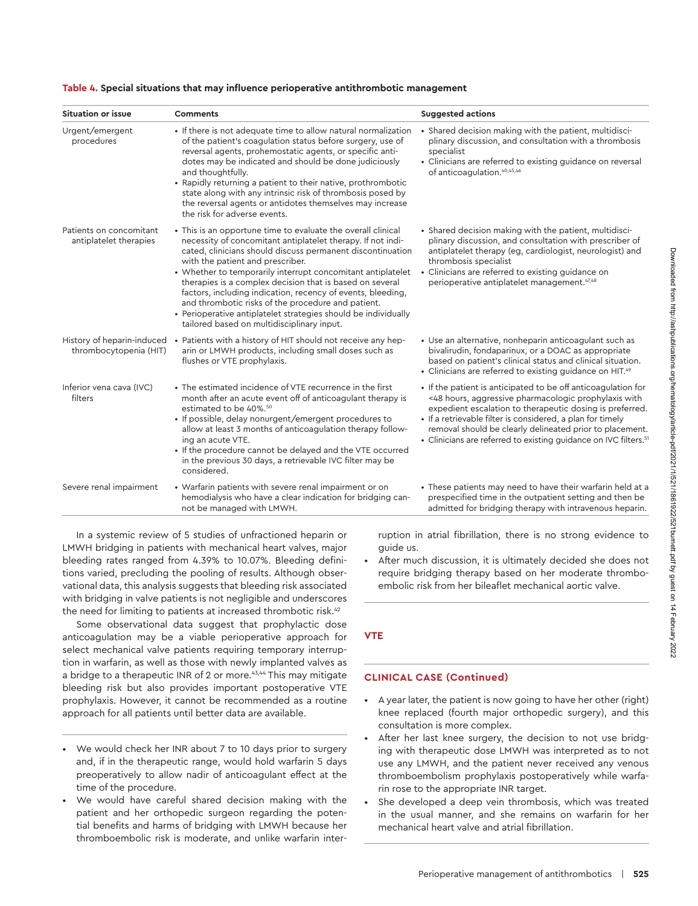Downloaded from http://ashpublications.org/hematology/article-pdf/2021/1/521/1861922/521burnett.pdf by guest on 14 February 2022

| <b>Situation or issue</b>                            | Comments                                                                                                                                                                                                                                                                                                                                                                                                                                                                                                                                                                                      | <b>Suggested actions</b>                                                                                                                                                                                                                                                                                                                                                                    |  |
|------------------------------------------------------|-----------------------------------------------------------------------------------------------------------------------------------------------------------------------------------------------------------------------------------------------------------------------------------------------------------------------------------------------------------------------------------------------------------------------------------------------------------------------------------------------------------------------------------------------------------------------------------------------|---------------------------------------------------------------------------------------------------------------------------------------------------------------------------------------------------------------------------------------------------------------------------------------------------------------------------------------------------------------------------------------------|--|
| Urgent/emergent<br>procedures                        | • If there is not adequate time to allow natural normalization<br>of the patient's coagulation status before surgery, use of<br>reversal agents, prohemostatic agents, or specific anti-<br>dotes may be indicated and should be done judiciously<br>and thoughtfully.<br>• Rapidly returning a patient to their native, prothrombotic<br>state along with any intrinsic risk of thrombosis posed by<br>the reversal agents or antidotes themselves may increase<br>the risk for adverse events.                                                                                              | • Shared decision making with the patient, multidisci-<br>plinary discussion, and consultation with a thrombosis<br>specialist<br>• Clinicians are referred to existing guidance on reversal<br>of anticoaqulation. <sup>40,45,46</sup>                                                                                                                                                     |  |
| Patients on concomitant<br>antiplatelet therapies    | • This is an opportune time to evaluate the overall clinical<br>necessity of concomitant antiplatelet therapy. If not indi-<br>cated, clinicians should discuss permanent discontinuation<br>with the patient and prescriber.<br>• Whether to temporarily interrupt concomitant antiplatelet<br>therapies is a complex decision that is based on several<br>factors, including indication, recency of events, bleeding,<br>and thrombotic risks of the procedure and patient.<br>• Perioperative antiplatelet strategies should be individually<br>tailored based on multidisciplinary input. | • Shared decision making with the patient, multidisci-<br>plinary discussion, and consultation with prescriber of<br>antiplatelet therapy (eg, cardiologist, neurologist) and<br>thrombosis specialist<br>• Clinicians are referred to existing guidance on<br>perioperative antiplatelet management. <sup>47,48</sup>                                                                      |  |
| History of heparin-induced<br>thrombocytopenia (HIT) | • Patients with a history of HIT should not receive any hep-<br>arin or LMWH products, including small doses such as<br>flushes or VTE prophylaxis.                                                                                                                                                                                                                                                                                                                                                                                                                                           | • Use an alternative, nonheparin anticoagulant such as<br>bivalirudin, fondaparinux, or a DOAC as appropriate<br>based on patient's clinical status and clinical situation.<br>• Clinicians are referred to existing guidance on HIT. <sup>49</sup>                                                                                                                                         |  |
| Inferior vena cava (IVC)<br>filters                  | • The estimated incidence of VTE recurrence in the first<br>month after an acute event off of anticoagulant therapy is<br>estimated to be 40%. <sup>50</sup><br>· If possible, delay nonurgent/emergent procedures to<br>allow at least 3 months of anticoagulation therapy follow-<br>ing an acute VTE.<br>• If the procedure cannot be delayed and the VTE occurred<br>in the previous 30 days, a retrievable IVC filter may be<br>considered.                                                                                                                                              | • If the patient is anticipated to be off anticoagulation for<br><48 hours, aggressive pharmacologic prophylaxis with<br>expedient escalation to therapeutic dosing is preferred.<br>· If a retrievable filter is considered, a plan for timely<br>removal should be clearly delineated prior to placement.<br>• Clinicians are referred to existing guidance on IVC filters. <sup>51</sup> |  |
| Severe renal impairment                              | • Warfarin patients with severe renal impairment or on<br>hemodialysis who have a clear indication for bridging can-<br>not be managed with LMWH.                                                                                                                                                                                                                                                                                                                                                                                                                                             | • These patients may need to have their warfarin held at a<br>prespecified time in the outpatient setting and then be<br>admitted for bridging therapy with intravenous heparin.                                                                                                                                                                                                            |  |

#### **Table 4. Special situations that may influence perioperative antithrombotic management**

In a systemic review of 5 studies of unfractioned heparin or LMWH bridging in patients with mechanical heart valves, major bleeding rates ranged from 4.39% to 10.07%. Bleeding definitions varied, precluding the pooling of results. Although observational data, this analysis suggests that bleeding risk associated with bridging in valve patients is not negligible and underscores the need for limiting to patients at increased thrombotic risk.<sup>42</sup>

Some observational data suggest that prophylactic dose anticoagulation may be a viable perioperative approach for select mechanical valve patients requiring temporary interruption in warfarin, as well as those with newly implanted valves as a bridge to a therapeutic INR of 2 or more.<sup>43,44</sup> This may mitigate bleeding risk but also provides important postoperative VTE prophylaxis. However, it cannot be recommended as a routine approach for all patients until better data are available.

- We would check her INR about 7 to 10 days prior to surgery and, if in the therapeutic range, would hold warfarin 5 days preoperatively to allow nadir of anticoagulant effect at the time of the procedure.
- We would have careful shared decision making with the patient and her orthopedic surgeon regarding the potential benefits and harms of bridging with LMWH because her thromboembolic risk is moderate, and unlike warfarin inter-

ruption in atrial fibrillation, there is no strong evidence to guide us.

• After much discussion, it is ultimately decided she does not require bridging therapy based on her moderate thromboembolic risk from her bileaflet mechanical aortic valve.

# **VTE**

#### **CLINICAL CASE (Continued)**

- A year later, the patient is now going to have her other (right) knee replaced (fourth major orthopedic surgery), and this consultation is more complex.
- After her last knee surgery, the decision to not use bridging with therapeutic dose LMWH was interpreted as to not use any LMWH, and the patient never received any venous thromboembolism prophylaxis postoperatively while warfarin rose to the appropriate INR target.
- She developed a deep vein thrombosis, which was treated in the usual manner, and she remains on warfarin for her mechanical heart valve and atrial fibrillation.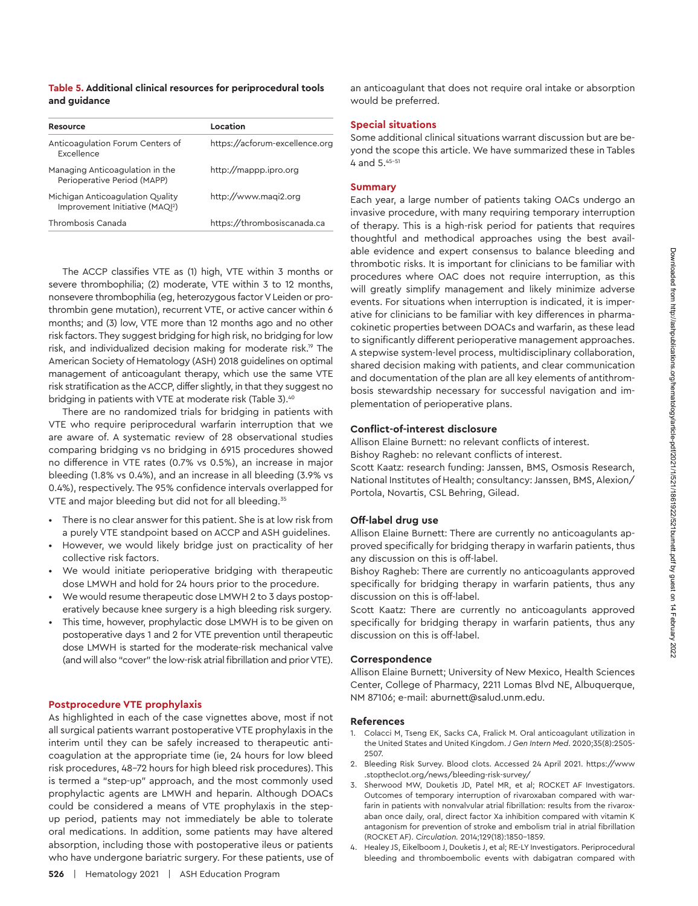# **Table 5. Additional clinical resources for periprocedural tools and guidance**

| Resource                                                                        | Location                       |
|---------------------------------------------------------------------------------|--------------------------------|
| Anticoagulation Forum Centers of<br><b>Excellence</b>                           | https://acforum-excellence.org |
| Managing Anticoagulation in the<br>Perioperative Period (MAPP)                  | http://mappp.ipro.org          |
| Michigan Anticoagulation Quality<br>Improvement Initiative (MAQI <sup>2</sup> ) | http://www.magi2.org           |
| Thrombosis Canada                                                               | https://thrombosiscanada.ca    |

The ACCP classifies VTE as (1) high, VTE within 3 months or severe thrombophilia; (2) moderate, VTE within 3 to 12 months, nonsevere thrombophilia (eg, heterozygous factor V Leiden or prothrombin gene mutation), recurrent VTE, or active cancer within 6 months; and (3) low, VTE more than 12 months ago and no other risk factors. They suggest bridging for high risk, no bridging for low risk, and individualized decision making for moderate risk.19 The American Society of Hematology (ASH) 2018 guidelines on optimal management of anticoagulant therapy, which use the same VTE risk stratification as the ACCP, differ slightly, in that they suggest no bridging in patients with VTE at moderate risk (Table 3).<sup>40</sup>

There are no randomized trials for bridging in patients with VTE who require periprocedural warfarin interruption that we are aware of. A systematic review of 28 observational studies comparing bridging vs no bridging in 6915 procedures showed no difference in VTE rates (0.7% vs 0.5%), an increase in major bleeding (1.8% vs 0.4%), and an increase in all bleeding (3.9% vs 0.4%), respectively. The 95% confidence intervals overlapped for VTE and major bleeding but did not for all bleeding.<sup>35</sup>

- There is no clear answer for this patient. She is at low risk from a purely VTE standpoint based on ACCP and ASH guidelines.
- However, we would likely bridge just on practicality of her collective risk factors.
- We would initiate perioperative bridging with therapeutic dose LMWH and hold for 24 hours prior to the procedure.
- We would resume therapeutic dose LMWH 2 to 3 days postoperatively because knee surgery is a high bleeding risk surgery.
- This time, however, prophylactic dose LMWH is to be given on postoperative days 1 and 2 for VTE prevention until therapeutic dose LMWH is started for the moderate-risk mechanical valve (and will also "cover" the low-risk atrial fibrillation and prior VTE).

#### **Postprocedure VTE prophylaxis**

As highlighted in each of the case vignettes above, most if not all surgical patients warrant postoperative VTE prophylaxis in the interim until they can be safely increased to therapeutic anticoagulation at the appropriate time (ie, 24 hours for low bleed risk procedures, 48-72 hours for high bleed risk procedures). This is termed a "step-up" approach, and the most commonly used prophylactic agents are LMWH and heparin. Although DOACs could be considered a means of VTE prophylaxis in the stepup period, patients may not immediately be able to tolerate oral medications. In addition, some patients may have altered absorption, including those with postoperative ileus or patients who have undergone bariatric surgery. For these patients, use of an anticoagulant that does not require oral intake or absorption would be preferred.

#### **Special situations**

Some additional clinical situations warrant discussion but are beyond the scope this article. We have summarized these in Tables 4 and 5.45-51

# **Summary**

Each year, a large number of patients taking OACs undergo an invasive procedure, with many requiring temporary interruption of therapy. This is a high-risk period for patients that requires thoughtful and methodical approaches using the best available evidence and expert consensus to balance bleeding and thrombotic risks. It is important for clinicians to be familiar with procedures where OAC does not require interruption, as this will greatly simplify management and likely minimize adverse events. For situations when interruption is indicated, it is imperative for clinicians to be familiar with key differences in pharmacokinetic properties between DOACs and warfarin, as these lead to significantly different perioperative management approaches. A stepwise system-level process, multidisciplinary collaboration, shared decision making with patients, and clear communication and documentation of the plan are all key elements of antithrombosis stewardship necessary for successful navigation and implementation of perioperative plans.

#### **Conflict-of-interest disclosure**

Allison Elaine Burnett: no relevant conflicts of interest. Bishoy Ragheb: no relevant conflicts of interest.

Scott Kaatz: research funding: Janssen, BMS, Osmosis Research, National Institutes of Health; consultancy: Janssen, BMS, Alexion/ Portola, Novartis, CSL Behring, Gilead.

#### **Off-label drug use**

Allison Elaine Burnett: There are currently no anticoagulants approved specifically for bridging therapy in warfarin patients, thus any discussion on this is off-label.

Bishoy Ragheb: There are currently no anticoagulants approved specifically for bridging therapy in warfarin patients, thus any discussion on this is off-label.

Scott Kaatz: There are currently no anticoagulants approved specifically for bridging therapy in warfarin patients, thus any discussion on this is off-label.

# **Correspondence**

Allison Elaine Burnett; University of New Mexico, Health Sciences Center, College of Pharmacy, 2211 Lomas Blvd NE, Albuquerque, NM 87106; e-mail: [aburnett@salud.unm.edu.](mailto:aburnett@salud.unm.edu)

#### **References**

- 1. Colacci M, Tseng EK, Sacks CA, Fralick M. Oral anticoagulant utilization in the United States and United Kingdom. *J Gen Intern Med*. 2020;35(8):2505- 2507.
- 2. Bleeding Risk Survey. Blood clots. Accessed 24 April 2021. [https://www](https://www.stoptheclot.org/news/bleeding-risk-survey/) [.stoptheclot.org/news/bleeding-risk-survey/](https://www.stoptheclot.org/news/bleeding-risk-survey/)
- 3. Sherwood MW, Douketis JD, Patel MR, et al; ROCKET AF Investigators. Outcomes of temporary interruption of rivaroxaban compared with warfarin in patients with nonvalvular atrial fibrillation: results from the rivaroxaban once daily, oral, direct factor Xa inhibition compared with vitamin K antagonism for prevention of stroke and embolism trial in atrial fibrillation (ROCKET AF). *Circulation.* 2014;129(18):1850-1859.
- 4. Healey JS, Eikelboom J, Douketis J, et al; RE-LY Investigators. Periprocedural bleeding and thromboembolic events with dabigatran compared with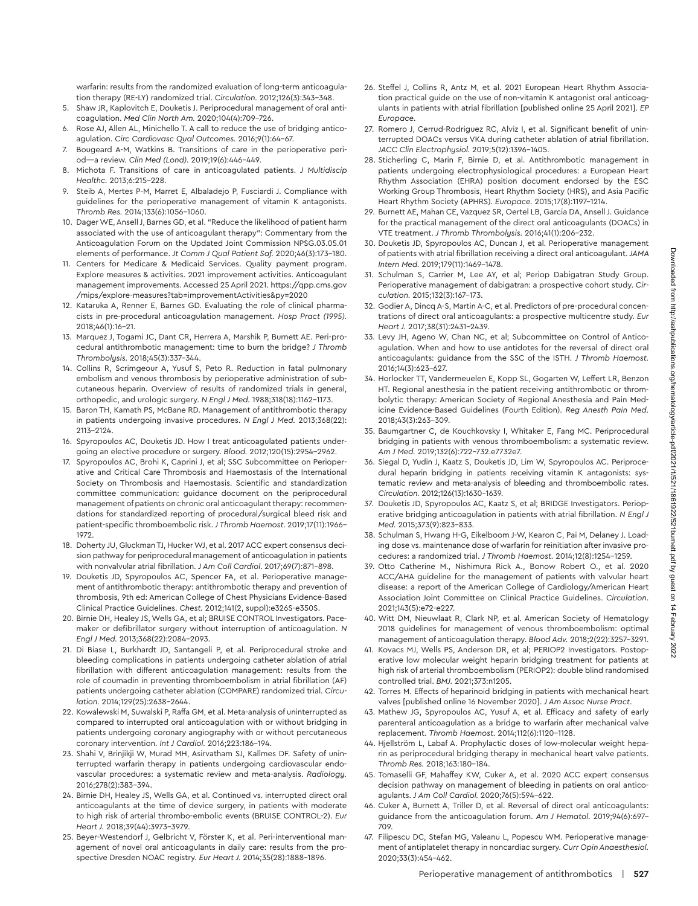Downloaded from http://ashpublications.org/hematology/article-pdf/2021/1/521/1861922/521burnett.pdf by guest on 14 February 2022 Downloaded from http://ashpublications.org/hematology/article-pdf/2021/1/521/1861922/521burnett.pdf by guest on 14 February 2022

warfarin: results from the randomized evaluation of long-term anticoagulation therapy (RE-LY) randomized trial. *Circulation.* 2012;126(3):343-348.

- 5. Shaw JR, Kaplovitch E, Douketis J. Periprocedural management of oral anticoagulation. *Med Clin North Am.* 2020;104(4):709-726.
- 6. Rose AJ, Allen AL, Minichello T. A call to reduce the use of bridging anticoagulation. *Circ Cardiovasc Qual Outcomes.* 2016;9(1):64-67.
- 7. Bougeard A-M, Watkins B. Transitions of care in the perioperative period—a review. *Clin Med (Lond).* 2019;19(6):446-449.
- 8. Michota F. Transitions of care in anticoagulated patients. *J Multidiscip Healthc.* 2013;6:215-228.
- 9. Steib A, Mertes P-M, Marret E, Albaladejo P, Fusciardi J. Compliance with guidelines for the perioperative management of vitamin K antagonists. *Thromb Res.* 2014;133(6):1056-1060.
- 10. Dager WE, Ansell J, Barnes GD, et al. "Reduce the likelihood of patient harm associated with the use of anticoagulant therapy": Commentary from the Anticoagulation Forum on the Updated Joint Commission NPSG.03.05.01 elements of performance. *Jt Comm J Qual Patient Saf.* 2020;46(3):173-180.
- 11. Centers for Medicare & Medicaid Services. Quality payment program. Explore measures & activities. 2021 improvement activities. Anticoagulant management improvements. Accessed 25 April 2021. [https://qpp.cms.gov](https://qpp.cms.gov/mips/explore-measures?tab=improvementActivities&py=2020) [/mips/explore-measures?tab=improvementActivities&py=2020](https://qpp.cms.gov/mips/explore-measures?tab=improvementActivities&py=2020)
- 12. Kataruka A, Renner E, Barnes GD. Evaluating the role of clinical pharmacists in pre-procedural anticoagulation management. *Hosp Pract (1995).* 2018;46(1):16-21.
- 13. Marquez J, Togami JC, Dant CR, Herrera A, Marshik P, Burnett AE. Peri-procedural antithrombotic management: time to burn the bridge? *J Thromb Thrombolysis.* 2018;45(3):337-344.
- 14. Collins R, Scrimgeour A, Yusuf S, Peto R. Reduction in fatal pulmonary embolism and venous thrombosis by perioperative administration of subcutaneous heparin. Overview of results of randomized trials in general, orthopedic, and urologic surgery. *N Engl J Med.* 1988;318(18):1162-1173.
- 15. Baron TH, Kamath PS, McBane RD. Management of antithrombotic therapy in patients undergoing invasive procedures. *N Engl J Med.* 2013;368(22): 2113-2124.
- 16. Spyropoulos AC, Douketis JD. How I treat anticoagulated patients undergoing an elective procedure or surgery. *Blood.* 2012;120(15):2954-2962.
- 17. Spyropoulos AC, Brohi K, Caprini J, et al; SSC Subcommittee on Perioperative and Critical Care Thrombosis and Haemostasis of the International Society on Thrombosis and Haemostasis. Scientific and standardization committee communication: guidance document on the periprocedural management of patients on chronic oral anticoagulant therapy: recommendations for standardized reporting of procedural/surgical bleed risk and patient-specific thromboembolic risk. *J Thromb Haemost.* 2019;17(11):1966– 1972.
- 18. Doherty JU, Gluckman TJ, Hucker WJ, et al. 2017 ACC expert consensus decision pathway for periprocedural management of anticoagulation in patients with nonvalvular atrial fibrillation. *J Am Coll Cardiol*. 2017;69(7):871–898.
- 19. Douketis JD, Spyropoulos AC, Spencer FA, et al. Perioperative management of antithrombotic therapy: antithrombotic therapy and prevention of thrombosis, 9th ed: American College of Chest Physicians Evidence-Based Clinical Practice Guidelines. *Chest.* 2012;141(2, suppl):e326S-e350S.
- 20. Birnie DH, Healey JS, Wells GA, et al; BRUISE CONTROL Investigators. Pacemaker or defibrillator surgery without interruption of anticoagulation. *N Engl J Med.* 2013;368(22):2084-2093.
- 21. Di Biase L, Burkhardt JD, Santangeli P, et al. Periprocedural stroke and bleeding complications in patients undergoing catheter ablation of atrial fibrillation with different anticoagulation management: results from the role of coumadin in preventing thromboembolism in atrial fibrillation (AF) patients undergoing catheter ablation (COMPARE) randomized trial. *Circulation.* 2014;129(25):2638-2644.
- 22. Kowalewski M, Suwalski P, Raffa GM, et al. Meta-analysis of uninterrupted as compared to interrupted oral anticoagulation with or without bridging in patients undergoing coronary angiography with or without percutaneous coronary intervention. *Int J Cardiol.* 2016;223:186-194.
- 23. Shahi V, Brinjikji W, Murad MH, Asirvatham SJ, Kallmes DF. Safety of uninterrupted warfarin therapy in patients undergoing cardiovascular endovascular procedures: a systematic review and meta-analysis. *Radiology.* 2016;278(2):383-394.
- 24. Birnie DH, Healey JS, Wells GA, et al. Continued vs. interrupted direct oral anticoagulants at the time of device surgery, in patients with moderate to high risk of arterial thrombo-embolic events (BRUISE CONTROL-2). *Eur Heart J.* 2018;39(44):3973-3979.
- 25. Beyer-Westendorf J, Gelbricht V, Förster K, et al. Peri-interventional management of novel oral anticoagulants in daily care: results from the prospective Dresden NOAC registry. *Eur Heart J.* 2014;35(28):1888-1896.
- 26. Steffel J, Collins R, Antz M, et al. 2021 European Heart Rhythm Association practical guide on the use of non-vitamin K antagonist oral anticoagulants in patients with atrial fibrillation [published online 25 April 2021]. *EP Europace*.
- 27. Romero J, Cerrud-Rodriguez RC, Alviz I, et al. Significant benefit of uninterrupted DOACs versus VKA during catheter ablation of atrial fibrillation. *JACC Clin Electrophysiol.* 2019;5(12):1396-1405.
- 28. Sticherling C, Marin F, Birnie D, et al. Antithrombotic management in patients undergoing electrophysiological procedures: a European Heart Rhythm Association (EHRA) position document endorsed by the ESC Working Group Thrombosis, Heart Rhythm Society (HRS), and Asia Pacific Heart Rhythm Society (APHRS). *Europace.* 2015;17(8):1197-1214.
- 29. Burnett AE, Mahan CE, Vazquez SR, Oertel LB, Garcia DA, Ansell J. Guidance for the practical management of the direct oral anticoagulants (DOACs) in VTE treatment. *J Thromb Thrombolysis.* 2016;41(1):206-232.
- 30. Douketis JD, Spyropoulos AC, Duncan J, et al. Perioperative management of patients with atrial fibrillation receiving a direct oral anticoagulant. *JAMA Intern Med.* 2019;179(11):1469-1478.
- 31. Schulman S, Carrier M, Lee AY, et al; Periop Dabigatran Study Group. Perioperative management of dabigatran: a prospective cohort study. *Circulation.* 2015;132(3):167-173.
- 32. Godier A, Dincq A-S, Martin A-C, et al. Predictors of pre-procedural concentrations of direct oral anticoagulants: a prospective multicentre study. *Eur Heart J.* 2017;38(31):2431-2439.
- 33. Levy JH, Ageno W, Chan NC, et al; Subcommittee on Control of Anticoagulation. When and how to use antidotes for the reversal of direct oral anticoagulants: guidance from the SSC of the ISTH. *J Thromb Haemost.* 2016;14(3):623-627.
- 34. Horlocker TT, Vandermeuelen E, Kopp SL, Gogarten W, Leffert LR, Benzon HT. Regional anesthesia in the patient receiving antithrombotic or thrombolytic therapy: American Society of Regional Anesthesia and Pain Medicine Evidence-Based Guidelines (Fourth Edition). *Reg Anesth Pain Med.* 2018;43(3):263-309.
- 35. Baumgartner C, de Kouchkovsky I, Whitaker E, Fang MC. Periprocedural bridging in patients with venous thromboembolism: a systematic review. *Am J Med.* 2019;132(6):722-732.e7732e7.
- 36. Siegal D, Yudin J, Kaatz S, Douketis JD, Lim W, Spyropoulos AC. Periprocedural heparin bridging in patients receiving vitamin K antagonists: systematic review and meta-analysis of bleeding and thromboembolic rates. *Circulation.* 2012;126(13):1630-1639.
- 37. Douketis JD, Spyropoulos AC, Kaatz S, et al; BRIDGE Investigators. Perioperative bridging anticoagulation in patients with atrial fibrillation. *N Engl J Med.* 2015;373(9):823-833.
- 38. Schulman S, Hwang H-G, Eikelboom J-W, Kearon C, Pai M, Delaney J. Loading dose vs. maintenance dose of warfarin for reinitiation after invasive procedures: a randomized trial. *J Thromb Haemost.* 2014;12(8):1254-1259.
- 39. Otto Catherine M., Nishimura Rick A., Bonow Robert O., et al. 2020 ACC/AHA guideline for the management of patients with valvular heart disease: a report of the American College of Cardiology/American Heart Association Joint Committee on Clinical Practice Guidelines. *Circulation*. 2021;143(5):e72-e227.
- 40. Witt DM, Nieuwlaat R, Clark NP, et al. American Society of Hematology 2018 guidelines for management of venous thromboembolism: optimal management of anticoagulation therapy. *Blood Adv.* 2018;2(22):3257-3291.
- 41. Kovacs MJ, Wells PS, Anderson DR, et al; PERIOP2 Investigators. Postoperative low molecular weight heparin bridging treatment for patients at high risk of arterial thromboembolism (PERIOP2): double blind randomised controlled trial. *BMJ.* 2021;373:n1205.
- 42. Torres M. Effects of heparinoid bridging in patients with mechanical heart valves [published online 16 November 2020]. *J Am Assoc Nurse Pract*.
- 43. Mathew JG, Spyropoulos AC, Yusuf A, et al. Efficacy and safety of early parenteral anticoagulation as a bridge to warfarin after mechanical valve replacement. *Thromb Haemost.* 2014;112(6):1120-1128.
- 44. Hjellström L, Labaf A. Prophylactic doses of low-molecular weight heparin as periprocedural bridging therapy in mechanical heart valve patients. *Thromb Res.* 2018;163:180-184.
- 45. Tomaselli GF, Mahaffey KW, Cuker A, et al. 2020 ACC expert consensus decision pathway on management of bleeding in patients on oral anticoagulants. *J Am Coll Cardiol.* 2020;76(5):594-622.
- 46. Cuker A, Burnett A, Triller D, et al. Reversal of direct oral anticoagulants: guidance from the anticoagulation forum. *Am J Hematol.* 2019;94(6):697– 709.
- 47. Filipescu DC, Stefan MG, Valeanu L, Popescu WM. Perioperative management of antiplatelet therapy in noncardiac surgery. *Curr Opin Anaesthesiol.* 2020;33(3):454-462.